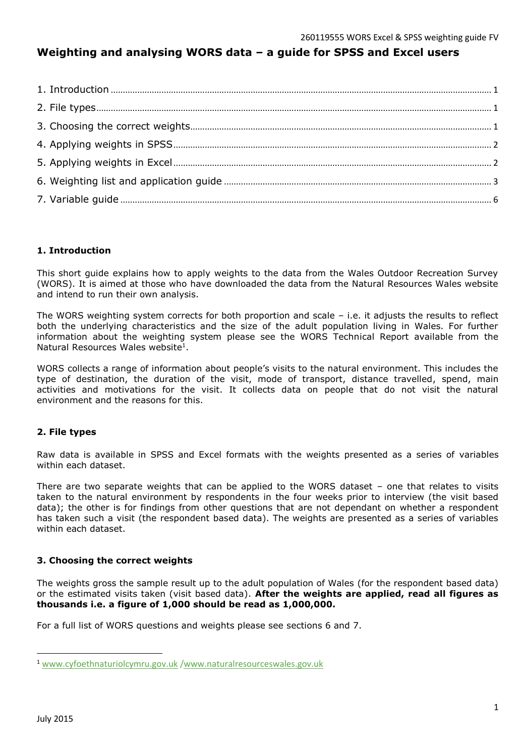# **Weighting and analysing WORS data – a guide for SPSS and Excel users**

## <span id="page-0-0"></span>**1. Introduction**

This short guide explains how to apply weights to the data from the Wales Outdoor Recreation Survey (WORS). It is aimed at those who have downloaded the data from the Natural Resources Wales website and intend to run their own analysis.

The WORS weighting system corrects for both proportion and scale – i.e. it adjusts the results to reflect both the underlying characteristics and the size of the adult population living in Wales. For further information about the weighting system please see the WORS Technical Report available from the Natural Resources Wales website<sup>1</sup>.

WORS collects a range of information about people's visits to the natural environment. This includes the type of destination, the duration of the visit, mode of transport, distance travelled, spend, main activities and motivations for the visit. It collects data on people that do not visit the natural environment and the reasons for this.

## <span id="page-0-1"></span>**2. File types**

Raw data is available in SPSS and Excel formats with the weights presented as a series of variables within each dataset.

There are two separate weights that can be applied to the WORS dataset – one that relates to visits taken to the natural environment by respondents in the four weeks prior to interview (the visit based data); the other is for findings from other questions that are not dependant on whether a respondent has taken such a visit (the respondent based data). The weights are presented as a series of variables within each dataset.

## <span id="page-0-2"></span>**3. Choosing the correct weights**

The weights gross the sample result up to the adult population of Wales (for the respondent based data) or the estimated visits taken (visit based data). **After the weights are applied, read all figures as thousands i.e. a figure of 1,000 should be read as 1,000,000.**

<span id="page-0-3"></span>For a full list of WORS questions and weights please see sections 6 and 7.

 $\overline{a}$ 

<sup>1</sup> [www.cyfoethnaturiolcymru.gov.uk](http://www.cyfoethnaturiolcymru.gov.uk/) [/www.naturalresourceswales.gov.uk](http://www.naturalresourceswales.gov.uk/)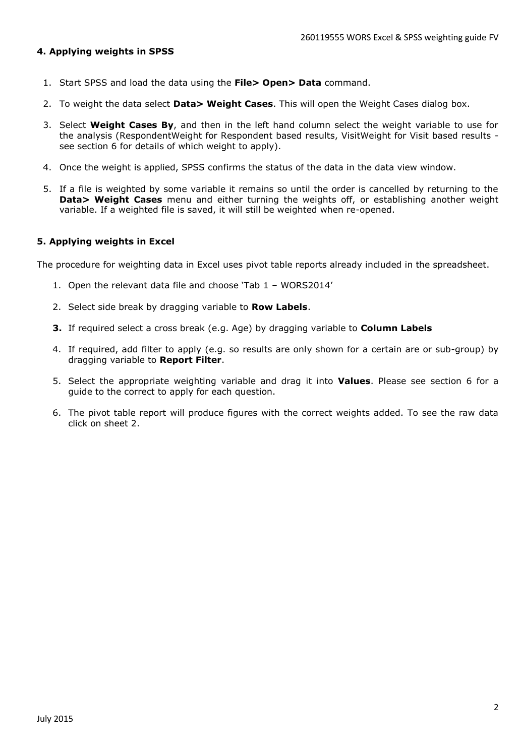#### **4. Applying weights in SPSS**

- 1. Start SPSS and load the data using the **File> Open> Data** command.
- 2. To weight the data select **Data> Weight Cases**. This will open the Weight Cases dialog box.
- 3. Select **Weight Cases By**, and then in the left hand column select the weight variable to use for the analysis (RespondentWeight for Respondent based results, VisitWeight for Visit based results see section 6 for details of which weight to apply).
- 4. Once the weight is applied, SPSS confirms the status of the data in the data view window.
- 5. If a file is weighted by some variable it remains so until the order is cancelled by returning to the **Data> Weight Cases** menu and either turning the weights off, or establishing another weight variable. If a weighted file is saved, it will still be weighted when re-opened.

#### <span id="page-1-0"></span>**5. Applying weights in Excel**

The procedure for weighting data in Excel uses pivot table reports already included in the spreadsheet.

- 1. Open the relevant data file and choose 'Tab 1 WORS2014'
- 2. Select side break by dragging variable to **Row Labels**.
- **3.** If required select a cross break (e.g. Age) by dragging variable to **Column Labels**
- 4. If required, add filter to apply (e.g. so results are only shown for a certain are or sub-group) by dragging variable to **Report Filter**.
- 5. Select the appropriate weighting variable and drag it into **Values**. Please see section 6 for a guide to the correct to apply for each question.
- 6. The pivot table report will produce figures with the correct weights added. To see the raw data click on sheet 2.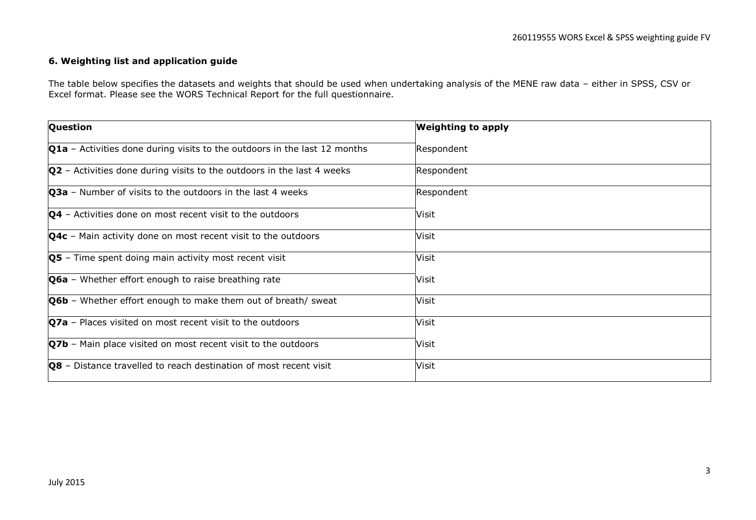#### **6. Weighting list and application guide**

The table below specifies the datasets and weights that should be used when undertaking analysis of the MENE raw data – either in SPSS, CSV or Excel format. Please see the WORS Technical Report for the full questionnaire.

<span id="page-2-0"></span>

| <b>Question</b>                                                                  | <b>Weighting to apply</b> |
|----------------------------------------------------------------------------------|---------------------------|
| <b>Q1a</b> - Activities done during visits to the outdoors in the last 12 months | Respondent                |
| $ Q2$ – Activities done during visits to the outdoors in the last 4 weeks        | Respondent                |
| Q3a - Number of visits to the outdoors in the last 4 weeks                       | Respondent                |
| $Q4$ – Activities done on most recent visit to the outdoors                      | Visit                     |
| <b>Q4c</b> - Main activity done on most recent visit to the outdoors             | Visit                     |
| <b>Q5</b> - Time spent doing main activity most recent visit                     | Visit                     |
| Q6a - Whether effort enough to raise breathing rate                              | Visit                     |
| <b>Q6b</b> - Whether effort enough to make them out of breath/ sweat             | Visit                     |
| $Q7a$ – Places visited on most recent visit to the outdoors                      | Visit                     |
| <b>Q7b</b> - Main place visited on most recent visit to the outdoors             | Visit                     |
| $\sqrt{Q8}$ – Distance travelled to reach destination of most recent visit       | Visit                     |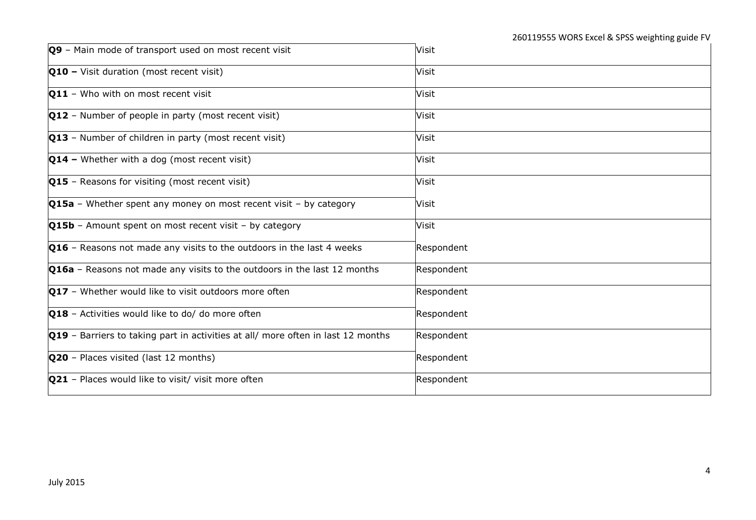| Q9 - Main mode of transport used on most recent visit                                   | Visit      |
|-----------------------------------------------------------------------------------------|------------|
| Q10 - Visit duration (most recent visit)                                                | Visit      |
| <b>Q11</b> - Who with on most recent visit                                              | Visit      |
| $Q12$ – Number of people in party (most recent visit)                                   | Visit      |
| $Q13$ – Number of children in party (most recent visit)                                 | Visit      |
| $Q14$ – Whether with a dog (most recent visit)                                          | Visit      |
| $Q15$ - Reasons for visiting (most recent visit)                                        | Visit      |
| <b>Q15a</b> – Whether spent any money on most recent visit – by category                | Visit      |
| <b>Q15b</b> - Amount spent on most recent visit - by category                           | Visit      |
| <b>Q16</b> - Reasons not made any visits to the outdoors in the last 4 weeks            | Respondent |
| <b>Q16a</b> - Reasons not made any visits to the outdoors in the last 12 months         | Respondent |
| <b>Q17</b> - Whether would like to visit outdoors more often                            | Respondent |
| Q18 - Activities would like to do/ do more often                                        | Respondent |
| <b>Q19</b> - Barriers to taking part in activities at all/ more often in last 12 months | Respondent |
| <b>Q20</b> - Places visited (last 12 months)                                            | Respondent |
| <b>Q21</b> - Places would like to visit/ visit more often                               | Respondent |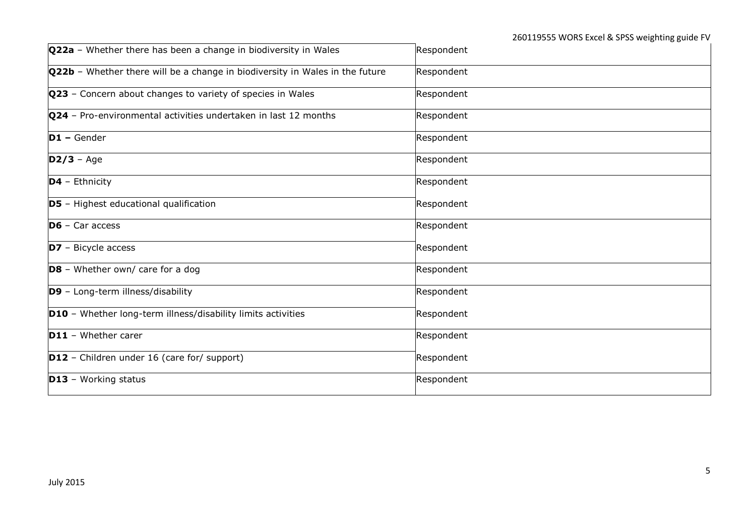| Q22a - Whether there has been a change in biodiversity in Wales              | Respondent |
|------------------------------------------------------------------------------|------------|
| Q22b - Whether there will be a change in biodiversity in Wales in the future | Respondent |
| Q23 - Concern about changes to variety of species in Wales                   | Respondent |
| Q24 - Pro-environmental activities undertaken in last 12 months              | Respondent |
| $D1 - \text{Gender}$                                                         | Respondent |
| $D2/3 - Age$                                                                 | Respondent |
| $D4$ - Ethnicity                                                             | Respondent |
| <b>D5</b> - Highest educational qualification                                | Respondent |
| $\overline{\mathsf{D6}}$ – Car access                                        | Respondent |
| $D7$ – Bicycle access                                                        | Respondent |
| $DS - Whether own/care for a dog$                                            | Respondent |
| D9 - Long-term illness/disability                                            | Respondent |
| <b>D10</b> - Whether long-term illness/disability limits activities          | Respondent |
| <b>D11</b> - Whether carer                                                   | Respondent |
| $D12$ – Children under 16 (care for/ support)                                | Respondent |
| $D13 - Working status$                                                       | Respondent |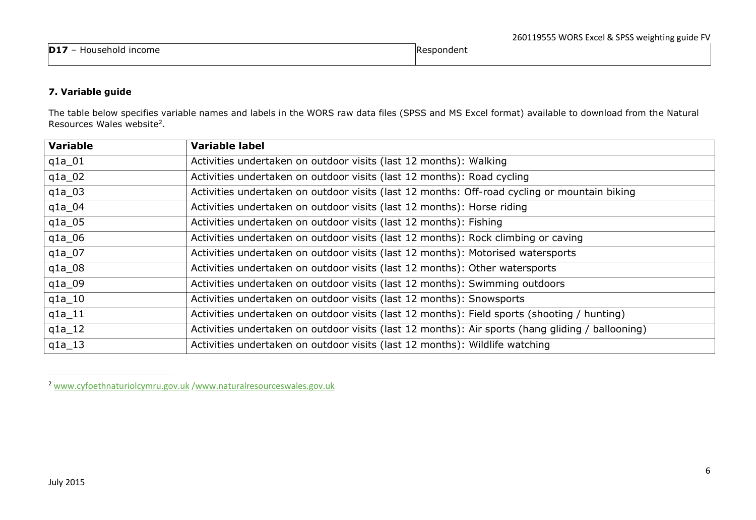|                                          |                | -- |
|------------------------------------------|----------------|----|
| <b>D17</b><br><b>Income</b><br>Household | $ -$<br>nonden |    |
|                                          |                |    |

# **7. Variable guide**

The table below specifies variable names and labels in the WORS raw data files (SPSS and MS Excel format) available to download from the Natural Resources Wales website<sup>2</sup>.

| <b>Variable</b> | <b>Variable label</b>                                                                            |
|-----------------|--------------------------------------------------------------------------------------------------|
| $q1a_01$        | Activities undertaken on outdoor visits (last 12 months): Walking                                |
| $q1a_02$        | Activities undertaken on outdoor visits (last 12 months): Road cycling                           |
| $q1a_03$        | Activities undertaken on outdoor visits (last 12 months: Off-road cycling or mountain biking     |
| $q1a_0$         | Activities undertaken on outdoor visits (last 12 months): Horse riding                           |
| $q1a_05$        | Activities undertaken on outdoor visits (last 12 months): Fishing                                |
| $q1a_06$        | Activities undertaken on outdoor visits (last 12 months): Rock climbing or caving                |
| $q1a_0$         | Activities undertaken on outdoor visits (last 12 months): Motorised watersports                  |
| $q1a_08$        | Activities undertaken on outdoor visits (last 12 months): Other watersports                      |
| $q1a_09$        | Activities undertaken on outdoor visits (last 12 months): Swimming outdoors                      |
| $q1a_10$        | Activities undertaken on outdoor visits (last 12 months): Snowsports                             |
| $q1a_11$        | Activities undertaken on outdoor visits (last 12 months): Field sports (shooting / hunting)      |
| $q1a_12$        | Activities undertaken on outdoor visits (last 12 months): Air sports (hang gliding / ballooning) |
| $q1a_13$        | Activities undertaken on outdoor visits (last 12 months): Wildlife watching                      |

<sup>2</sup> [www.cyfoethnaturiolcymru.gov.uk](http://www.cyfoethnaturiolcymru.gov.uk/) [/www.naturalresourceswales.gov.uk](http://www.naturalresourceswales.gov.uk/)

<span id="page-5-0"></span>1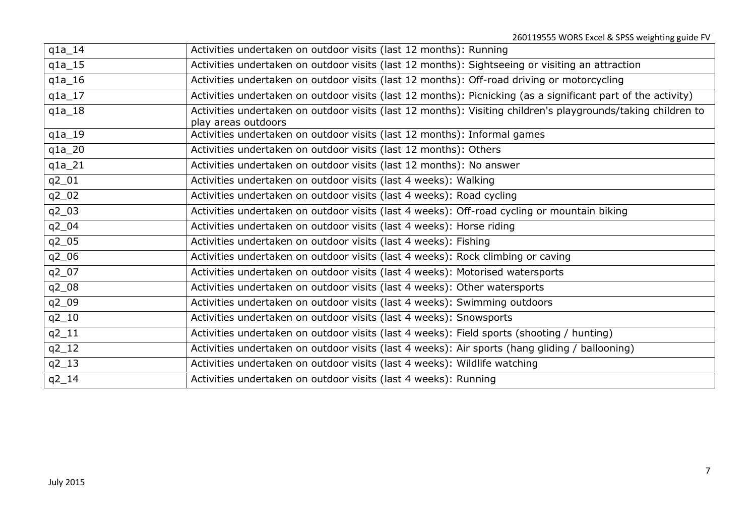| $q1a_14$  | Activities undertaken on outdoor visits (last 12 months): Running                                                                   |
|-----------|-------------------------------------------------------------------------------------------------------------------------------------|
| $q1a_15$  | Activities undertaken on outdoor visits (last 12 months): Sightseeing or visiting an attraction                                     |
| $q1a_16$  | Activities undertaken on outdoor visits (last 12 months): Off-road driving or motorcycling                                          |
| $q1a_17$  | Activities undertaken on outdoor visits (last 12 months): Picnicking (as a significant part of the activity)                        |
| $q1a_18$  | Activities undertaken on outdoor visits (last 12 months): Visiting children's playgrounds/taking children to<br>play areas outdoors |
| $q1a_19$  | Activities undertaken on outdoor visits (last 12 months): Informal games                                                            |
| $q1a_2$   | Activities undertaken on outdoor visits (last 12 months): Others                                                                    |
| $q1a_21$  | Activities undertaken on outdoor visits (last 12 months): No answer                                                                 |
| q2_01     | Activities undertaken on outdoor visits (last 4 weeks): Walking                                                                     |
| $q2_02$   | Activities undertaken on outdoor visits (last 4 weeks): Road cycling                                                                |
| $q2_03$   | Activities undertaken on outdoor visits (last 4 weeks): Off-road cycling or mountain biking                                         |
| q2_04     | Activities undertaken on outdoor visits (last 4 weeks): Horse riding                                                                |
| $q2_05$   | Activities undertaken on outdoor visits (last 4 weeks): Fishing                                                                     |
| $q2_06$   | Activities undertaken on outdoor visits (last 4 weeks): Rock climbing or caving                                                     |
| $q2_07$   | Activities undertaken on outdoor visits (last 4 weeks): Motorised watersports                                                       |
| $q2_08$   | Activities undertaken on outdoor visits (last 4 weeks): Other watersports                                                           |
| q2_09     | Activities undertaken on outdoor visits (last 4 weeks): Swimming outdoors                                                           |
| $q2_{10}$ | Activities undertaken on outdoor visits (last 4 weeks): Snowsports                                                                  |
| $q2_11$   | Activities undertaken on outdoor visits (last 4 weeks): Field sports (shooting / hunting)                                           |
| $q2_{12}$ | Activities undertaken on outdoor visits (last 4 weeks): Air sports (hang gliding / ballooning)                                      |
| $q2_{13}$ | Activities undertaken on outdoor visits (last 4 weeks): Wildlife watching                                                           |
| $q2_{14}$ | Activities undertaken on outdoor visits (last 4 weeks): Running                                                                     |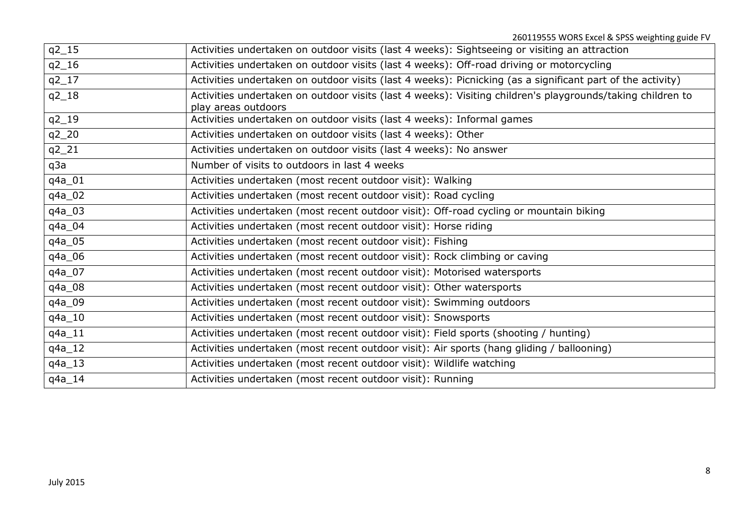| $q2_{15}$ | Activities undertaken on outdoor visits (last 4 weeks): Sightseeing or visiting an attraction              |
|-----------|------------------------------------------------------------------------------------------------------------|
| $q2_{16}$ | Activities undertaken on outdoor visits (last 4 weeks): Off-road driving or motorcycling                   |
| $q2_{17}$ | Activities undertaken on outdoor visits (last 4 weeks): Picnicking (as a significant part of the activity) |
| $q2_{18}$ | Activities undertaken on outdoor visits (last 4 weeks): Visiting children's playgrounds/taking children to |
|           | play areas outdoors                                                                                        |
| $q2_{19}$ | Activities undertaken on outdoor visits (last 4 weeks): Informal games                                     |
| $q2_2$    | Activities undertaken on outdoor visits (last 4 weeks): Other                                              |
| $q2_21$   | Activities undertaken on outdoor visits (last 4 weeks): No answer                                          |
| q3a       | Number of visits to outdoors in last 4 weeks                                                               |
| q4a_01    | Activities undertaken (most recent outdoor visit): Walking                                                 |
| q4a_02    | Activities undertaken (most recent outdoor visit): Road cycling                                            |
| q4a_03    | Activities undertaken (most recent outdoor visit): Off-road cycling or mountain biking                     |
| q4a_04    | Activities undertaken (most recent outdoor visit): Horse riding                                            |
| q4a_05    | Activities undertaken (most recent outdoor visit): Fishing                                                 |
| q4a_06    | Activities undertaken (most recent outdoor visit): Rock climbing or caving                                 |
| q4a_07    | Activities undertaken (most recent outdoor visit): Motorised watersports                                   |
| q4a_08    | Activities undertaken (most recent outdoor visit): Other watersports                                       |
| q4a_09    | Activities undertaken (most recent outdoor visit): Swimming outdoors                                       |
| q4a_10    | Activities undertaken (most recent outdoor visit): Snowsports                                              |
| $q4a_11$  | Activities undertaken (most recent outdoor visit): Field sports (shooting / hunting)                       |
| $q4a_12$  | Activities undertaken (most recent outdoor visit): Air sports (hang gliding / ballooning)                  |
| $q4a_13$  | Activities undertaken (most recent outdoor visit): Wildlife watching                                       |
| $q4a_14$  | Activities undertaken (most recent outdoor visit): Running                                                 |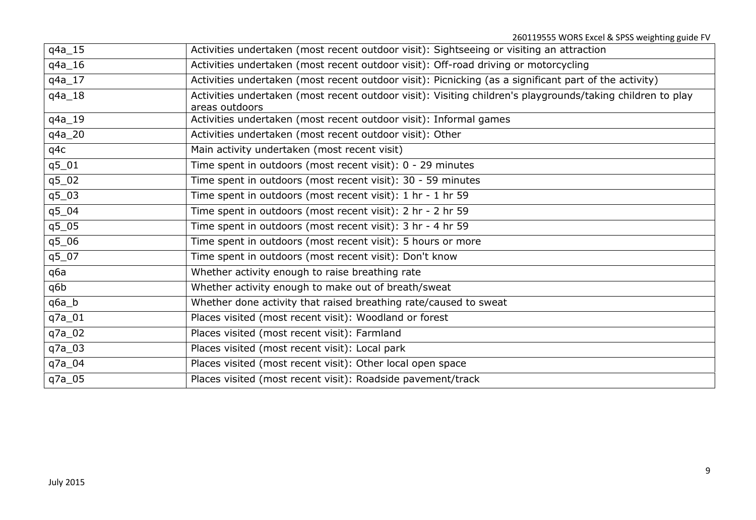| $q4a_15$ | Activities undertaken (most recent outdoor visit): Sightseeing or visiting an attraction                   |
|----------|------------------------------------------------------------------------------------------------------------|
| q4a_16   | Activities undertaken (most recent outdoor visit): Off-road driving or motorcycling                        |
| q4a_17   | Activities undertaken (most recent outdoor visit): Picnicking (as a significant part of the activity)      |
| $q4a_18$ | Activities undertaken (most recent outdoor visit): Visiting children's playgrounds/taking children to play |
|          | areas outdoors                                                                                             |
| q4a_19   | Activities undertaken (most recent outdoor visit): Informal games                                          |
| q4a_20   | Activities undertaken (most recent outdoor visit): Other                                                   |
| q4c      | Main activity undertaken (most recent visit)                                                               |
| $q5_01$  | Time spent in outdoors (most recent visit): 0 - 29 minutes                                                 |
| $q5_02$  | Time spent in outdoors (most recent visit): 30 - 59 minutes                                                |
| $q5_03$  | Time spent in outdoors (most recent visit): 1 hr - 1 hr 59                                                 |
| $q5_04$  | Time spent in outdoors (most recent visit): 2 hr - 2 hr 59                                                 |
| $q5_05$  | Time spent in outdoors (most recent visit): 3 hr - 4 hr 59                                                 |
| q506     | Time spent in outdoors (most recent visit): 5 hours or more                                                |
| q5_07    | Time spent in outdoors (most recent visit): Don't know                                                     |
| q6a      | Whether activity enough to raise breathing rate                                                            |
| q6b      | Whether activity enough to make out of breath/sweat                                                        |
| $q6a_b$  | Whether done activity that raised breathing rate/caused to sweat                                           |
| q7a_01   | Places visited (most recent visit): Woodland or forest                                                     |
| q7a_02   | Places visited (most recent visit): Farmland                                                               |
| q7a_03   | Places visited (most recent visit): Local park                                                             |
| q7a_04   | Places visited (most recent visit): Other local open space                                                 |
| q7a_05   | Places visited (most recent visit): Roadside pavement/track                                                |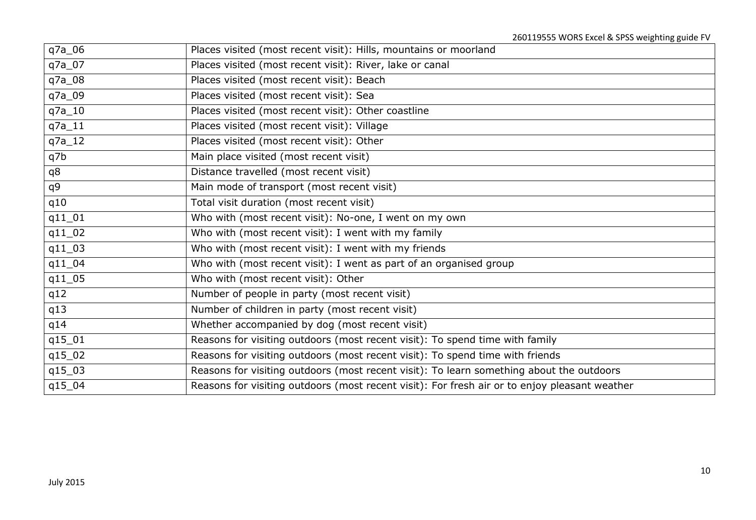| q7a_06   | Places visited (most recent visit): Hills, mountains or moorland                              |
|----------|-----------------------------------------------------------------------------------------------|
| q7a_07   | Places visited (most recent visit): River, lake or canal                                      |
| q7a_08   | Places visited (most recent visit): Beach                                                     |
| q7a_09   | Places visited (most recent visit): Sea                                                       |
| $q7a_10$ | Places visited (most recent visit): Other coastline                                           |
| $q7a_11$ | Places visited (most recent visit): Village                                                   |
| $q7a_12$ | Places visited (most recent visit): Other                                                     |
| q7b      | Main place visited (most recent visit)                                                        |
| q8       | Distance travelled (most recent visit)                                                        |
| q9       | Main mode of transport (most recent visit)                                                    |
| q10      | Total visit duration (most recent visit)                                                      |
| $q11_01$ | Who with (most recent visit): No-one, I went on my own                                        |
| $q11_02$ | Who with (most recent visit): I went with my family                                           |
| $q11_03$ | Who with (most recent visit): I went with my friends                                          |
| $q11_04$ | Who with (most recent visit): I went as part of an organised group                            |
| $q11_05$ | Who with (most recent visit): Other                                                           |
| q12      | Number of people in party (most recent visit)                                                 |
| q13      | Number of children in party (most recent visit)                                               |
| q14      | Whether accompanied by dog (most recent visit)                                                |
| q15_01   | Reasons for visiting outdoors (most recent visit): To spend time with family                  |
| q15_02   | Reasons for visiting outdoors (most recent visit): To spend time with friends                 |
| q15_03   | Reasons for visiting outdoors (most recent visit): To learn something about the outdoors      |
| q15_04   | Reasons for visiting outdoors (most recent visit): For fresh air or to enjoy pleasant weather |
|          |                                                                                               |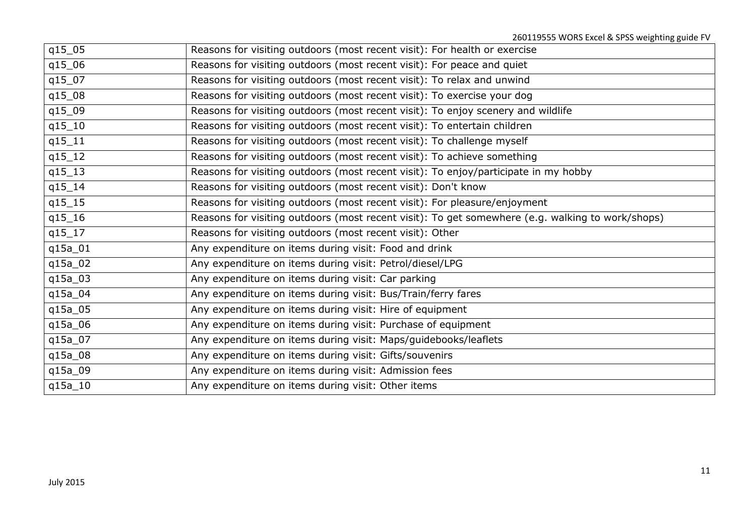| q15_05              | Reasons for visiting outdoors (most recent visit): For health or exercise                        |
|---------------------|--------------------------------------------------------------------------------------------------|
| q15_06              | Reasons for visiting outdoors (most recent visit): For peace and quiet                           |
| q15_07              | Reasons for visiting outdoors (most recent visit): To relax and unwind                           |
| q15_08              | Reasons for visiting outdoors (most recent visit): To exercise your dog                          |
| q15_09              | Reasons for visiting outdoors (most recent visit): To enjoy scenery and wildlife                 |
| $q15_10$            | Reasons for visiting outdoors (most recent visit): To entertain children                         |
| q15_11              | Reasons for visiting outdoors (most recent visit): To challenge myself                           |
| $q15_12$            | Reasons for visiting outdoors (most recent visit): To achieve something                          |
| $q15_13$            | Reasons for visiting outdoors (most recent visit): To enjoy/participate in my hobby              |
| $q15_14$            | Reasons for visiting outdoors (most recent visit): Don't know                                    |
| $q15$ <sup>15</sup> | Reasons for visiting outdoors (most recent visit): For pleasure/enjoyment                        |
| q15_16              | Reasons for visiting outdoors (most recent visit): To get somewhere (e.g. walking to work/shops) |
| q15_17              | Reasons for visiting outdoors (most recent visit): Other                                         |
| q15a_01             | Any expenditure on items during visit: Food and drink                                            |
| q15a_02             | Any expenditure on items during visit: Petrol/diesel/LPG                                         |
| q15a_03             | Any expenditure on items during visit: Car parking                                               |
| q15a_04             | Any expenditure on items during visit: Bus/Train/ferry fares                                     |
| q15a_05             | Any expenditure on items during visit: Hire of equipment                                         |
| q15a_06             | Any expenditure on items during visit: Purchase of equipment                                     |
| q15a_07             | Any expenditure on items during visit: Maps/guidebooks/leaflets                                  |
| q15a_08             | Any expenditure on items during visit: Gifts/souvenirs                                           |
| q15a_09             | Any expenditure on items during visit: Admission fees                                            |
| $q15a_10$           | Any expenditure on items during visit: Other items                                               |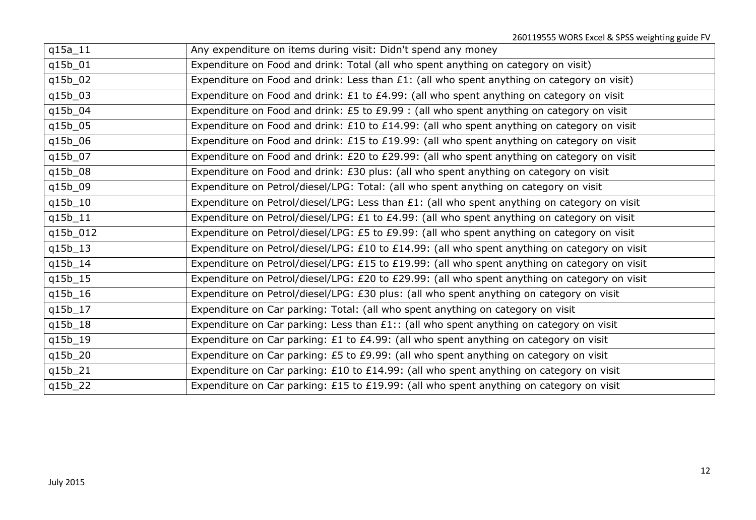| $q15a_11$ | Any expenditure on items during visit: Didn't spend any money                                 |
|-----------|-----------------------------------------------------------------------------------------------|
| q15b_01   | Expenditure on Food and drink: Total (all who spent anything on category on visit)            |
| q15b_02   | Expenditure on Food and drink: Less than £1: (all who spent anything on category on visit)    |
| q15b_03   | Expenditure on Food and drink: £1 to £4.99: (all who spent anything on category on visit      |
| q15b_04   | Expenditure on Food and drink: £5 to £9.99 : (all who spent anything on category on visit     |
| q15b_05   | Expenditure on Food and drink: £10 to £14.99: (all who spent anything on category on visit    |
| q15b_06   | Expenditure on Food and drink: £15 to £19.99: (all who spent anything on category on visit    |
| q15b_07   | Expenditure on Food and drink: £20 to £29.99: (all who spent anything on category on visit    |
| q15b_08   | Expenditure on Food and drink: £30 plus: (all who spent anything on category on visit         |
| q15b_09   | Expenditure on Petrol/diesel/LPG: Total: (all who spent anything on category on visit         |
| q15b_10   | Expenditure on Petrol/diesel/LPG: Less than £1: (all who spent anything on category on visit  |
| q15b_11   | Expenditure on Petrol/diesel/LPG: £1 to £4.99: (all who spent anything on category on visit   |
| q15b_012  | Expenditure on Petrol/diesel/LPG: £5 to £9.99: (all who spent anything on category on visit   |
| q15b_13   | Expenditure on Petrol/diesel/LPG: £10 to £14.99: (all who spent anything on category on visit |
| q15b_14   | Expenditure on Petrol/diesel/LPG: £15 to £19.99: (all who spent anything on category on visit |
| q15b_15   | Expenditure on Petrol/diesel/LPG: £20 to £29.99: (all who spent anything on category on visit |
| q15b_16   | Expenditure on Petrol/diesel/LPG: £30 plus: (all who spent anything on category on visit      |
| q15b_17   | Expenditure on Car parking: Total: (all who spent anything on category on visit               |
| q15b_18   | Expenditure on Car parking: Less than £1:: (all who spent anything on category on visit       |
| q15b_19   | Expenditure on Car parking: £1 to £4.99: (all who spent anything on category on visit         |
| q15b_20   | Expenditure on Car parking: £5 to £9.99: (all who spent anything on category on visit         |
| q15b_21   | Expenditure on Car parking: £10 to £14.99: (all who spent anything on category on visit       |
| q15b_22   | Expenditure on Car parking: £15 to £19.99: (all who spent anything on category on visit       |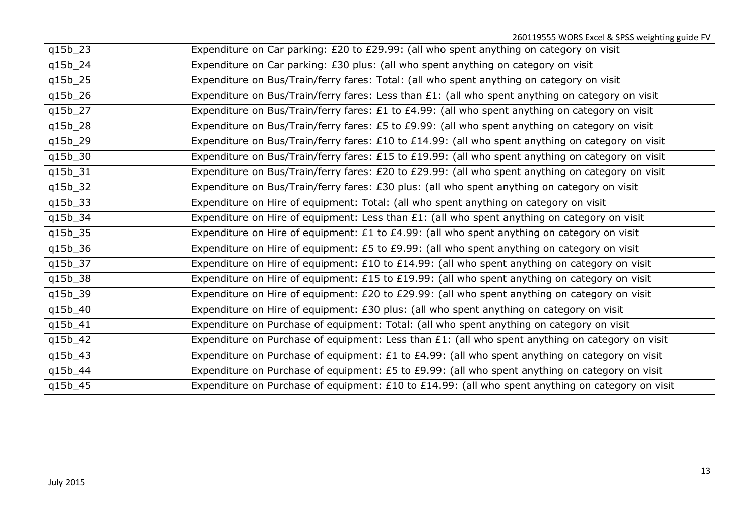| q15b_23 | Expenditure on Car parking: £20 to £29.99: (all who spent anything on category on visit           |
|---------|---------------------------------------------------------------------------------------------------|
| q15b_24 | Expenditure on Car parking: £30 plus: (all who spent anything on category on visit                |
| q15b_25 | Expenditure on Bus/Train/ferry fares: Total: (all who spent anything on category on visit         |
| q15b_26 | Expenditure on Bus/Train/ferry fares: Less than £1: (all who spent anything on category on visit  |
| q15b_27 | Expenditure on Bus/Train/ferry fares: £1 to £4.99: (all who spent anything on category on visit   |
| q15b_28 | Expenditure on Bus/Train/ferry fares: £5 to £9.99: (all who spent anything on category on visit   |
| q15b_29 | Expenditure on Bus/Train/ferry fares: £10 to £14.99: (all who spent anything on category on visit |
| q15b_30 | Expenditure on Bus/Train/ferry fares: £15 to £19.99: (all who spent anything on category on visit |
| q15b_31 | Expenditure on Bus/Train/ferry fares: £20 to £29.99: (all who spent anything on category on visit |
| q15b_32 | Expenditure on Bus/Train/ferry fares: £30 plus: (all who spent anything on category on visit      |
| q15b_33 | Expenditure on Hire of equipment: Total: (all who spent anything on category on visit             |
| q15b_34 | Expenditure on Hire of equipment: Less than £1: (all who spent anything on category on visit      |
| q15b_35 | Expenditure on Hire of equipment: £1 to £4.99: (all who spent anything on category on visit       |
| q15b_36 | Expenditure on Hire of equipment: £5 to £9.99: (all who spent anything on category on visit       |
| q15b_37 | Expenditure on Hire of equipment: £10 to £14.99: (all who spent anything on category on visit     |
| q15b_38 | Expenditure on Hire of equipment: £15 to £19.99: (all who spent anything on category on visit     |
| q15b_39 | Expenditure on Hire of equipment: £20 to £29.99: (all who spent anything on category on visit     |
| q15b_40 | Expenditure on Hire of equipment: £30 plus: (all who spent anything on category on visit          |
| q15b_41 | Expenditure on Purchase of equipment: Total: (all who spent anything on category on visit         |
| q15b_42 | Expenditure on Purchase of equipment: Less than £1: (all who spent anything on category on visit  |
| q15b_43 | Expenditure on Purchase of equipment: £1 to £4.99: (all who spent anything on category on visit   |
| q15b_44 | Expenditure on Purchase of equipment: £5 to £9.99: (all who spent anything on category on visit   |
| q15b_45 | Expenditure on Purchase of equipment: £10 to £14.99: (all who spent anything on category on visit |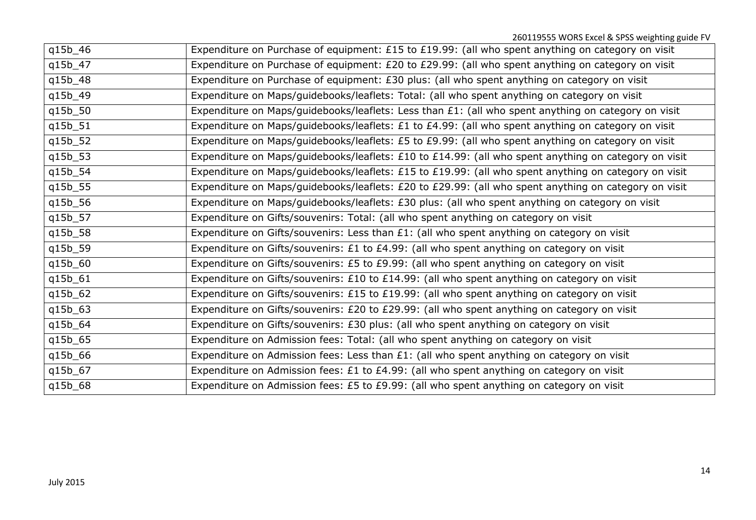| q15b_46 | Expenditure on Purchase of equipment: £15 to £19.99: (all who spent anything on category on visit    |
|---------|------------------------------------------------------------------------------------------------------|
| q15b_47 | Expenditure on Purchase of equipment: £20 to £29.99: (all who spent anything on category on visit    |
| q15b_48 | Expenditure on Purchase of equipment: £30 plus: (all who spent anything on category on visit         |
| q15b_49 | Expenditure on Maps/guidebooks/leaflets: Total: (all who spent anything on category on visit         |
| q15b_50 | Expenditure on Maps/guidebooks/leaflets: Less than £1: (all who spent anything on category on visit  |
| q15b_51 | Expenditure on Maps/guidebooks/leaflets: £1 to £4.99: (all who spent anything on category on visit   |
| q15b_52 | Expenditure on Maps/guidebooks/leaflets: £5 to £9.99: (all who spent anything on category on visit   |
| q15b_53 | Expenditure on Maps/guidebooks/leaflets: £10 to £14.99: (all who spent anything on category on visit |
| q15b_54 | Expenditure on Maps/guidebooks/leaflets: £15 to £19.99: (all who spent anything on category on visit |
| q15b_55 | Expenditure on Maps/guidebooks/leaflets: £20 to £29.99: (all who spent anything on category on visit |
| q15b_56 | Expenditure on Maps/guidebooks/leaflets: £30 plus: (all who spent anything on category on visit      |
| q15b_57 | Expenditure on Gifts/souvenirs: Total: (all who spent anything on category on visit                  |
| q15b_58 | Expenditure on Gifts/souvenirs: Less than £1: (all who spent anything on category on visit           |
| q15b_59 | Expenditure on Gifts/souvenirs: £1 to £4.99: (all who spent anything on category on visit            |
| q15b_60 | Expenditure on Gifts/souvenirs: £5 to £9.99: (all who spent anything on category on visit            |
| q15b_61 | Expenditure on Gifts/souvenirs: £10 to £14.99: (all who spent anything on category on visit          |
| q15b_62 | Expenditure on Gifts/souvenirs: £15 to £19.99: (all who spent anything on category on visit          |
| q15b_63 | Expenditure on Gifts/souvenirs: £20 to £29.99: (all who spent anything on category on visit          |
| q15b_64 | Expenditure on Gifts/souvenirs: £30 plus: (all who spent anything on category on visit               |
| q15b_65 | Expenditure on Admission fees: Total: (all who spent anything on category on visit                   |
| q15b_66 | Expenditure on Admission fees: Less than £1: (all who spent anything on category on visit            |
| q15b_67 | Expenditure on Admission fees: £1 to £4.99: (all who spent anything on category on visit             |
| q15b_68 | Expenditure on Admission fees: £5 to £9.99: (all who spent anything on category on visit             |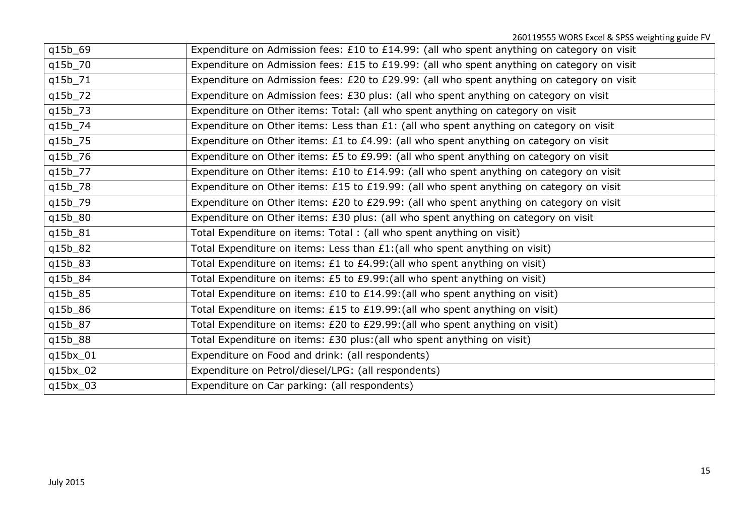| q15b_69  | Expenditure on Admission fees: £10 to £14.99: (all who spent anything on category on visit |
|----------|--------------------------------------------------------------------------------------------|
| q15b_70  | Expenditure on Admission fees: £15 to £19.99: (all who spent anything on category on visit |
| q15b_71  | Expenditure on Admission fees: £20 to £29.99: (all who spent anything on category on visit |
| q15b_72  | Expenditure on Admission fees: £30 plus: (all who spent anything on category on visit      |
| q15b_73  | Expenditure on Other items: Total: (all who spent anything on category on visit            |
| q15b_74  | Expenditure on Other items: Less than £1: (all who spent anything on category on visit     |
| q15b_75  | Expenditure on Other items: £1 to £4.99: (all who spent anything on category on visit      |
| q15b_76  | Expenditure on Other items: £5 to £9.99: (all who spent anything on category on visit      |
| q15b_77  | Expenditure on Other items: £10 to £14.99: (all who spent anything on category on visit    |
| q15b_78  | Expenditure on Other items: £15 to £19.99: (all who spent anything on category on visit    |
| q15b_79  | Expenditure on Other items: £20 to £29.99: (all who spent anything on category on visit    |
| q15b_80  | Expenditure on Other items: £30 plus: (all who spent anything on category on visit         |
| q15b_81  | Total Expenditure on items: Total : (all who spent anything on visit)                      |
| q15b_82  | Total Expenditure on items: Less than £1: (all who spent anything on visit)                |
| q15b_83  | Total Expenditure on items: £1 to £4.99: (all who spent anything on visit)                 |
| q15b_84  | Total Expenditure on items: £5 to £9.99: (all who spent anything on visit)                 |
| q15b_85  | Total Expenditure on items: £10 to £14.99: (all who spent anything on visit)               |
| q15b_86  | Total Expenditure on items: £15 to £19.99: (all who spent anything on visit)               |
| q15b_87  | Total Expenditure on items: £20 to £29.99: (all who spent anything on visit)               |
| q15b_88  | Total Expenditure on items: £30 plus: (all who spent anything on visit)                    |
| q15bx_01 | Expenditure on Food and drink: (all respondents)                                           |
| q15bx_02 | Expenditure on Petrol/diesel/LPG: (all respondents)                                        |
| q15bx_03 | Expenditure on Car parking: (all respondents)                                              |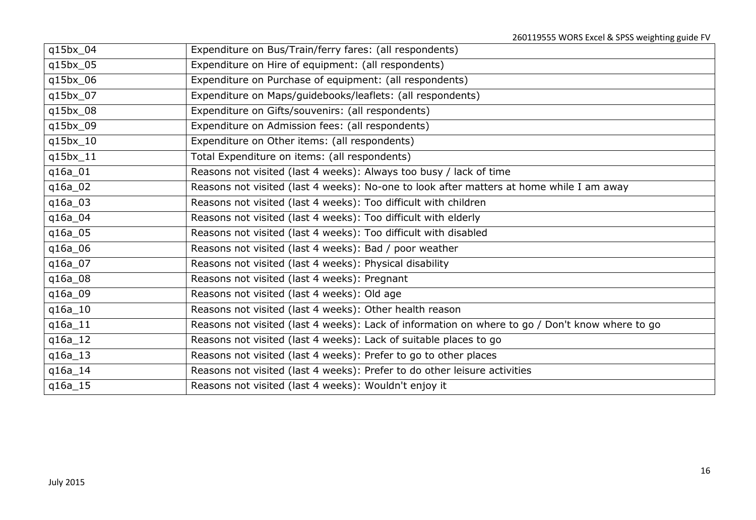| q15bx_04  | Expenditure on Bus/Train/ferry fares: (all respondents)                                         |
|-----------|-------------------------------------------------------------------------------------------------|
| q15bx_05  | Expenditure on Hire of equipment: (all respondents)                                             |
| q15bx_06  | Expenditure on Purchase of equipment: (all respondents)                                         |
| q15bx_07  | Expenditure on Maps/guidebooks/leaflets: (all respondents)                                      |
| q15bx_08  | Expenditure on Gifts/souvenirs: (all respondents)                                               |
| q15bx_09  | Expenditure on Admission fees: (all respondents)                                                |
| q15bx_10  | Expenditure on Other items: (all respondents)                                                   |
| q15bx_11  | Total Expenditure on items: (all respondents)                                                   |
| q16a_01   | Reasons not visited (last 4 weeks): Always too busy / lack of time                              |
| q16a_02   | Reasons not visited (last 4 weeks): No-one to look after matters at home while I am away        |
| q16a_03   | Reasons not visited (last 4 weeks): Too difficult with children                                 |
| q16a_04   | Reasons not visited (last 4 weeks): Too difficult with elderly                                  |
| q16a_05   | Reasons not visited (last 4 weeks): Too difficult with disabled                                 |
| q16a_06   | Reasons not visited (last 4 weeks): Bad / poor weather                                          |
| q16a_07   | Reasons not visited (last 4 weeks): Physical disability                                         |
| q16a_08   | Reasons not visited (last 4 weeks): Pregnant                                                    |
| q16a_09   | Reasons not visited (last 4 weeks): Old age                                                     |
| $q16a_10$ | Reasons not visited (last 4 weeks): Other health reason                                         |
| q16a_11   | Reasons not visited (last 4 weeks): Lack of information on where to go / Don't know where to go |
| $q16a_12$ | Reasons not visited (last 4 weeks): Lack of suitable places to go                               |
| $q16a_13$ | Reasons not visited (last 4 weeks): Prefer to go to other places                                |
| $q16a_14$ | Reasons not visited (last 4 weeks): Prefer to do other leisure activities                       |
| $q16a_15$ | Reasons not visited (last 4 weeks): Wouldn't enjoy it                                           |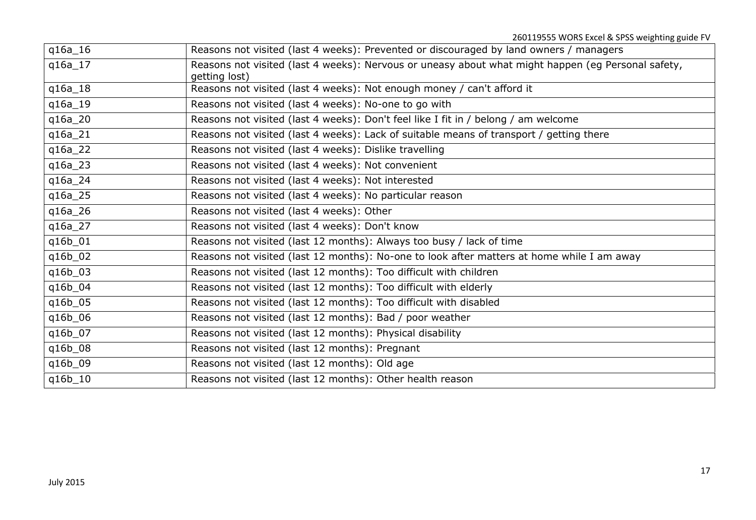| q16a_16   | Reasons not visited (last 4 weeks): Prevented or discouraged by land owners / managers                              |
|-----------|---------------------------------------------------------------------------------------------------------------------|
| $q16a_17$ | Reasons not visited (last 4 weeks): Nervous or uneasy about what might happen (eg Personal safety,<br>getting lost) |
| q16a_18   | Reasons not visited (last 4 weeks): Not enough money / can't afford it                                              |
|           |                                                                                                                     |
| $q16a_19$ | Reasons not visited (last 4 weeks): No-one to go with                                                               |
| q16a_20   | Reasons not visited (last 4 weeks): Don't feel like I fit in / belong / am welcome                                  |
| q16a_21   | Reasons not visited (last 4 weeks): Lack of suitable means of transport / getting there                             |
| q16a_22   | Reasons not visited (last 4 weeks): Dislike travelling                                                              |
| $q16a_23$ | Reasons not visited (last 4 weeks): Not convenient                                                                  |
| q16a_24   | Reasons not visited (last 4 weeks): Not interested                                                                  |
| q16a_25   | Reasons not visited (last 4 weeks): No particular reason                                                            |
| q16a_26   | Reasons not visited (last 4 weeks): Other                                                                           |
| q16a_27   | Reasons not visited (last 4 weeks): Don't know                                                                      |
| q16b_01   | Reasons not visited (last 12 months): Always too busy / lack of time                                                |
| q16b_02   | Reasons not visited (last 12 months): No-one to look after matters at home while I am away                          |
| q16b_03   | Reasons not visited (last 12 months): Too difficult with children                                                   |
| q16b_04   | Reasons not visited (last 12 months): Too difficult with elderly                                                    |
| q16b_05   | Reasons not visited (last 12 months): Too difficult with disabled                                                   |
| q16b_06   | Reasons not visited (last 12 months): Bad / poor weather                                                            |
| q16b_07   | Reasons not visited (last 12 months): Physical disability                                                           |
| q16b_08   | Reasons not visited (last 12 months): Pregnant                                                                      |
| q16b_09   | Reasons not visited (last 12 months): Old age                                                                       |
| q16b_10   | Reasons not visited (last 12 months): Other health reason                                                           |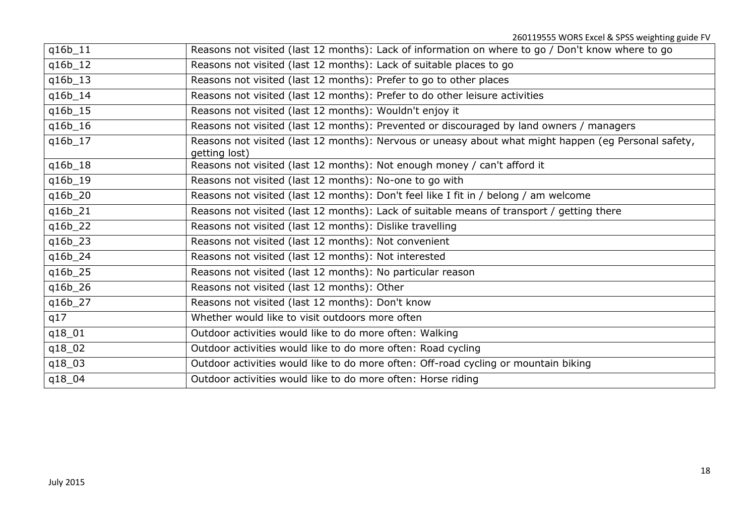| q16b_11 | Reasons not visited (last 12 months): Lack of information on where to go / Don't know where to go                     |
|---------|-----------------------------------------------------------------------------------------------------------------------|
| q16b_12 | Reasons not visited (last 12 months): Lack of suitable places to go                                                   |
| q16b_13 | Reasons not visited (last 12 months): Prefer to go to other places                                                    |
| q16b_14 | Reasons not visited (last 12 months): Prefer to do other leisure activities                                           |
| q16b_15 | Reasons not visited (last 12 months): Wouldn't enjoy it                                                               |
| q16b_16 | Reasons not visited (last 12 months): Prevented or discouraged by land owners / managers                              |
| q16b_17 | Reasons not visited (last 12 months): Nervous or uneasy about what might happen (eg Personal safety,<br>getting lost) |
| q16b_18 | Reasons not visited (last 12 months): Not enough money / can't afford it                                              |
| q16b_19 | Reasons not visited (last 12 months): No-one to go with                                                               |
| q16b_20 | Reasons not visited (last 12 months): Don't feel like I fit in / belong / am welcome                                  |
| q16b_21 | Reasons not visited (last 12 months): Lack of suitable means of transport / getting there                             |
| q16b_22 | Reasons not visited (last 12 months): Dislike travelling                                                              |
| q16b_23 | Reasons not visited (last 12 months): Not convenient                                                                  |
| q16b_24 | Reasons not visited (last 12 months): Not interested                                                                  |
| q16b_25 | Reasons not visited (last 12 months): No particular reason                                                            |
| q16b_26 | Reasons not visited (last 12 months): Other                                                                           |
| q16b_27 | Reasons not visited (last 12 months): Don't know                                                                      |
| q17     | Whether would like to visit outdoors more often                                                                       |
| q18_01  | Outdoor activities would like to do more often: Walking                                                               |
| q18_02  | Outdoor activities would like to do more often: Road cycling                                                          |
| q18_03  | Outdoor activities would like to do more often: Off-road cycling or mountain biking                                   |
| q18_04  | Outdoor activities would like to do more often: Horse riding                                                          |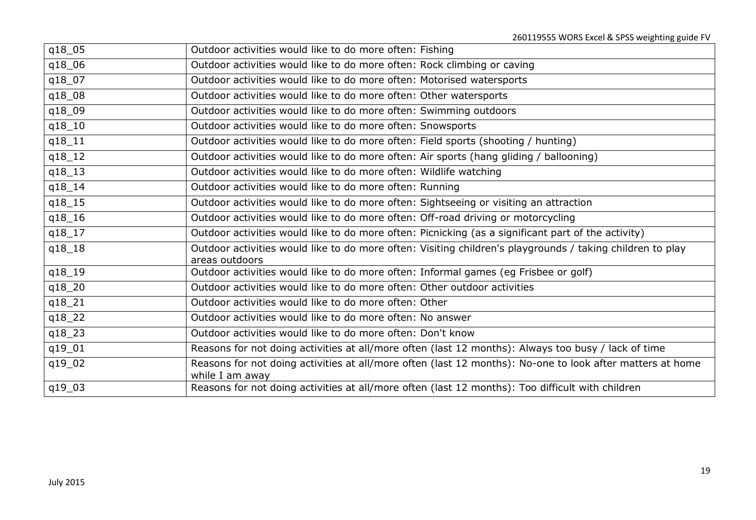| q18_05     | Outdoor activities would like to do more often: Fishing                                                                      |
|------------|------------------------------------------------------------------------------------------------------------------------------|
| q18_06     | Outdoor activities would like to do more often: Rock climbing or caving                                                      |
| q18_07     | Outdoor activities would like to do more often: Motorised watersports                                                        |
| q18_08     | Outdoor activities would like to do more often: Other watersports                                                            |
| q18_09     | Outdoor activities would like to do more often: Swimming outdoors                                                            |
| q18_10     | Outdoor activities would like to do more often: Snowsports                                                                   |
| q18_11     | Outdoor activities would like to do more often: Field sports (shooting / hunting)                                            |
| $q18_12$   | Outdoor activities would like to do more often: Air sports (hang gliding / ballooning)                                       |
| $q18_13$   | Outdoor activities would like to do more often: Wildlife watching                                                            |
| q18_14     | Outdoor activities would like to do more often: Running                                                                      |
| q18_15     | Outdoor activities would like to do more often: Sightseeing or visiting an attraction                                        |
| q18_16     | Outdoor activities would like to do more often: Off-road driving or motorcycling                                             |
| q18_17     | Outdoor activities would like to do more often: Picnicking (as a significant part of the activity)                           |
| $q18_{18}$ | Outdoor activities would like to do more often: Visiting children's playgrounds / taking children to play<br>areas outdoors  |
| $q18_{19}$ | Outdoor activities would like to do more often: Informal games (eg Frisbee or golf)                                          |
| q18_20     | Outdoor activities would like to do more often: Other outdoor activities                                                     |
| q18_21     | Outdoor activities would like to do more often: Other                                                                        |
| q18_22     | Outdoor activities would like to do more often: No answer                                                                    |
| q18_23     | Outdoor activities would like to do more often: Don't know                                                                   |
| q19_01     | Reasons for not doing activities at all/more often (last 12 months): Always too busy / lack of time                          |
| q19_02     | Reasons for not doing activities at all/more often (last 12 months): No-one to look after matters at home<br>while I am away |
| q19_03     | Reasons for not doing activities at all/more often (last 12 months): Too difficult with children                             |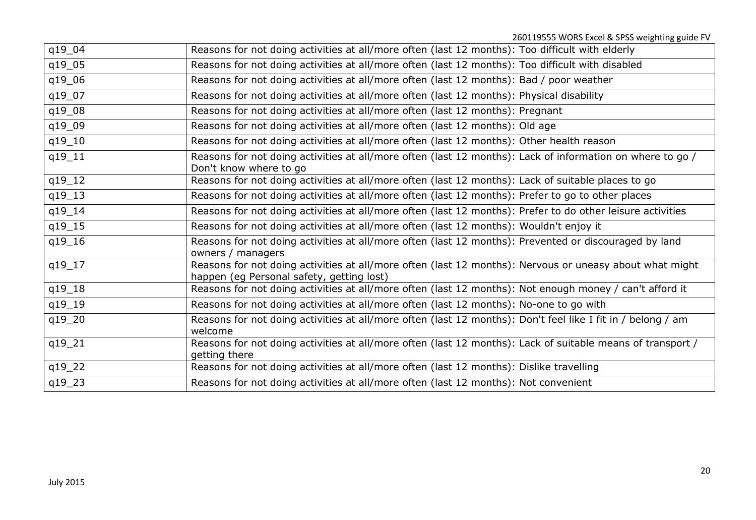| q19_04   | Reasons for not doing activities at all/more often (last 12 months): Too difficult with elderly                                                      |
|----------|------------------------------------------------------------------------------------------------------------------------------------------------------|
| q19_05   | Reasons for not doing activities at all/more often (last 12 months): Too difficult with disabled                                                     |
| q19_06   | Reasons for not doing activities at all/more often (last 12 months): Bad / poor weather                                                              |
| q19_07   | Reasons for not doing activities at all/more often (last 12 months): Physical disability                                                             |
| q19_08   | Reasons for not doing activities at all/more often (last 12 months): Pregnant                                                                        |
| q19_09   | Reasons for not doing activities at all/more often (last 12 months): Old age                                                                         |
| q19_10   | Reasons for not doing activities at all/more often (last 12 months): Other health reason                                                             |
| q19_11   | Reasons for not doing activities at all/more often (last 12 months): Lack of information on where to go /<br>Don't know where to go                  |
| $q19_12$ | Reasons for not doing activities at all/more often (last 12 months): Lack of suitable places to go                                                   |
| $q19_13$ | Reasons for not doing activities at all/more often (last 12 months): Prefer to go to other places                                                    |
| q19_14   | Reasons for not doing activities at all/more often (last 12 months): Prefer to do other leisure activities                                           |
| q19_15   | Reasons for not doing activities at all/more often (last 12 months): Wouldn't enjoy it                                                               |
| q19_16   | Reasons for not doing activities at all/more often (last 12 months): Prevented or discouraged by land<br>owners / managers                           |
| $q19_17$ | Reasons for not doing activities at all/more often (last 12 months): Nervous or uneasy about what might<br>happen (eg Personal safety, getting lost) |
| q19_18   | Reasons for not doing activities at all/more often (last 12 months): Not enough money / can't afford it                                              |
| q19_19   | Reasons for not doing activities at all/more often (last 12 months): No-one to go with                                                               |
| q19_20   | Reasons for not doing activities at all/more often (last 12 months): Don't feel like I fit in / belong / am<br>welcome                               |
| q19_21   | Reasons for not doing activities at all/more often (last 12 months): Lack of suitable means of transport /<br>getting there                          |
| q19_22   | Reasons for not doing activities at all/more often (last 12 months): Dislike travelling                                                              |
| q19_23   | Reasons for not doing activities at all/more often (last 12 months): Not convenient                                                                  |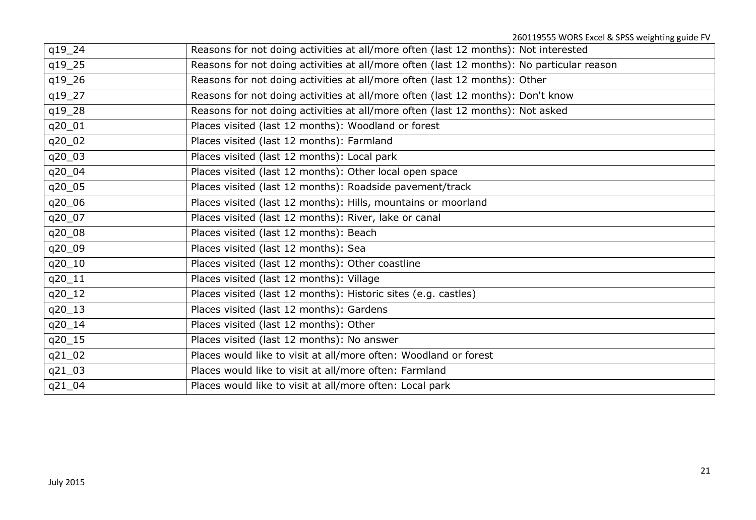| q19_24   | Reasons for not doing activities at all/more often (last 12 months): Not interested       |
|----------|-------------------------------------------------------------------------------------------|
| q19_25   | Reasons for not doing activities at all/more often (last 12 months): No particular reason |
| q19_26   | Reasons for not doing activities at all/more often (last 12 months): Other                |
| q19_27   | Reasons for not doing activities at all/more often (last 12 months): Don't know           |
| q19_28   | Reasons for not doing activities at all/more often (last 12 months): Not asked            |
| q20_01   | Places visited (last 12 months): Woodland or forest                                       |
| q20_02   | Places visited (last 12 months): Farmland                                                 |
| q20_03   | Places visited (last 12 months): Local park                                               |
| q20_04   | Places visited (last 12 months): Other local open space                                   |
| q20_05   | Places visited (last 12 months): Roadside pavement/track                                  |
| q20_06   | Places visited (last 12 months): Hills, mountains or moorland                             |
| q20_07   | Places visited (last 12 months): River, lake or canal                                     |
| q20_08   | Places visited (last 12 months): Beach                                                    |
| q20_09   | Places visited (last 12 months): Sea                                                      |
| q20_10   | Places visited (last 12 months): Other coastline                                          |
| q20_11   | Places visited (last 12 months): Village                                                  |
| q20_12   | Places visited (last 12 months): Historic sites (e.g. castles)                            |
| q20_13   | Places visited (last 12 months): Gardens                                                  |
| q20_14   | Places visited (last 12 months): Other                                                    |
| q20_15   | Places visited (last 12 months): No answer                                                |
| $q21_02$ | Places would like to visit at all/more often: Woodland or forest                          |
| q21_03   | Places would like to visit at all/more often: Farmland                                    |
| q21_04   | Places would like to visit at all/more often: Local park                                  |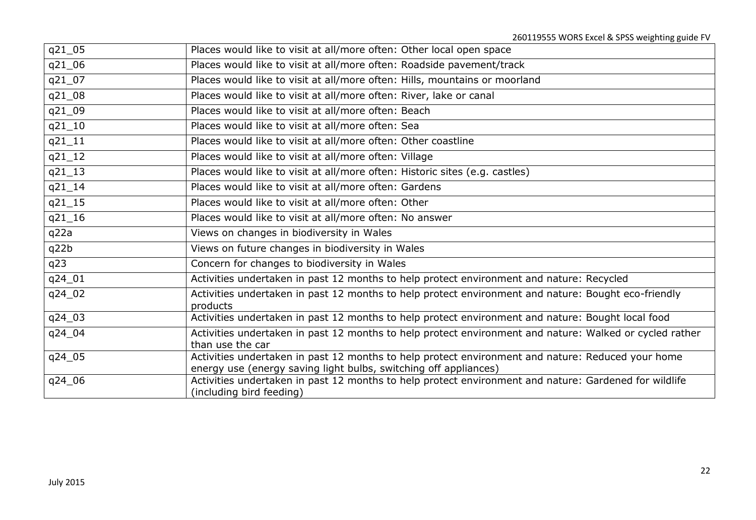| q21_05     | Places would like to visit at all/more often: Other local open space                                                                                                  |
|------------|-----------------------------------------------------------------------------------------------------------------------------------------------------------------------|
| q21_06     | Places would like to visit at all/more often: Roadside pavement/track                                                                                                 |
| q21_07     | Places would like to visit at all/more often: Hills, mountains or moorland                                                                                            |
| q21_08     | Places would like to visit at all/more often: River, lake or canal                                                                                                    |
| q21_09     | Places would like to visit at all/more often: Beach                                                                                                                   |
| $q21_{10}$ | Places would like to visit at all/more often: Sea                                                                                                                     |
| $q21_11$   | Places would like to visit at all/more often: Other coastline                                                                                                         |
| $q21_12$   | Places would like to visit at all/more often: Village                                                                                                                 |
| $q21_13$   | Places would like to visit at all/more often: Historic sites (e.g. castles)                                                                                           |
| $q21 - 14$ | Places would like to visit at all/more often: Gardens                                                                                                                 |
| $q21_{15}$ | Places would like to visit at all/more often: Other                                                                                                                   |
| $q21_{16}$ | Places would like to visit at all/more often: No answer                                                                                                               |
| q22a       | Views on changes in biodiversity in Wales                                                                                                                             |
| q22b       | Views on future changes in biodiversity in Wales                                                                                                                      |
| q23        | Concern for changes to biodiversity in Wales                                                                                                                          |
| q24_01     | Activities undertaken in past 12 months to help protect environment and nature: Recycled                                                                              |
| q24_02     | Activities undertaken in past 12 months to help protect environment and nature: Bought eco-friendly<br>products                                                       |
| q24_03     | Activities undertaken in past 12 months to help protect environment and nature: Bought local food                                                                     |
| q24_04     | Activities undertaken in past 12 months to help protect environment and nature: Walked or cycled rather<br>than use the car                                           |
| q24_05     | Activities undertaken in past 12 months to help protect environment and nature: Reduced your home<br>energy use (energy saving light bulbs, switching off appliances) |
| q24_06     | Activities undertaken in past 12 months to help protect environment and nature: Gardened for wildlife<br>(including bird feeding)                                     |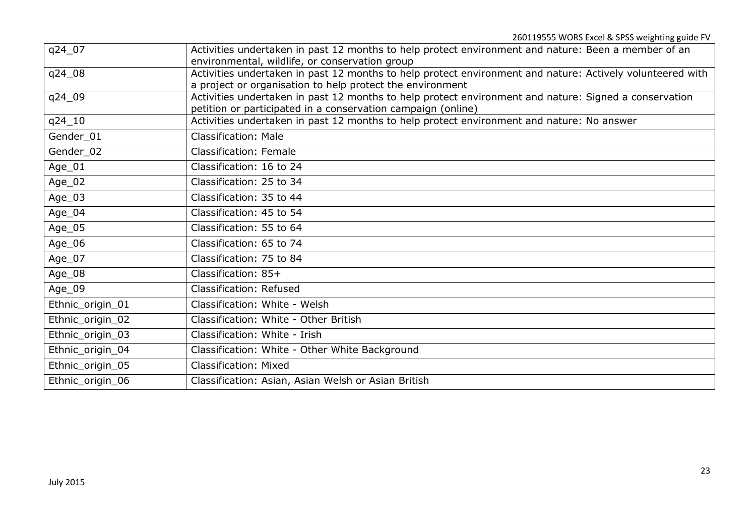| q24_07           | Activities undertaken in past 12 months to help protect environment and nature: Been a member of an<br>environmental, wildlife, or conservation group                  |
|------------------|------------------------------------------------------------------------------------------------------------------------------------------------------------------------|
| q24_08           | Activities undertaken in past 12 months to help protect environment and nature: Actively volunteered with<br>a project or organisation to help protect the environment |
| q24_09           | Activities undertaken in past 12 months to help protect environment and nature: Signed a conservation<br>petition or participated in a conservation campaign (online)  |
| q24_10           | Activities undertaken in past 12 months to help protect environment and nature: No answer                                                                              |
| Gender_01        | <b>Classification: Male</b>                                                                                                                                            |
| Gender_02        | <b>Classification: Female</b>                                                                                                                                          |
| Age_01           | Classification: 16 to 24                                                                                                                                               |
| Age_02           | Classification: 25 to 34                                                                                                                                               |
| Age_03           | Classification: 35 to 44                                                                                                                                               |
| Age_04           | Classification: 45 to 54                                                                                                                                               |
| Age_05           | Classification: 55 to 64                                                                                                                                               |
| Age_06           | Classification: 65 to 74                                                                                                                                               |
| Age_07           | Classification: 75 to 84                                                                                                                                               |
| Age_08           | Classification: 85+                                                                                                                                                    |
| Age_09           | Classification: Refused                                                                                                                                                |
| Ethnic_origin_01 | Classification: White - Welsh                                                                                                                                          |
| Ethnic_origin_02 | Classification: White - Other British                                                                                                                                  |
| Ethnic_origin_03 | Classification: White - Irish                                                                                                                                          |
| Ethnic_origin_04 | Classification: White - Other White Background                                                                                                                         |
| Ethnic_origin_05 | Classification: Mixed                                                                                                                                                  |
| Ethnic_origin_06 | Classification: Asian, Asian Welsh or Asian British                                                                                                                    |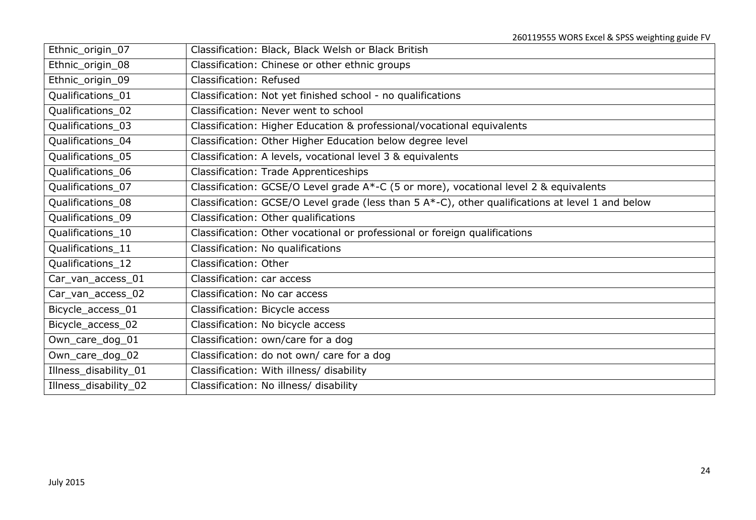| Ethnic_origin_07      | Classification: Black, Black Welsh or Black British                                              |
|-----------------------|--------------------------------------------------------------------------------------------------|
| Ethnic_origin_08      | Classification: Chinese or other ethnic groups                                                   |
| Ethnic_origin_09      | Classification: Refused                                                                          |
| Qualifications 01     | Classification: Not yet finished school - no qualifications                                      |
| Qualifications_02     | Classification: Never went to school                                                             |
| Qualifications 03     | Classification: Higher Education & professional/vocational equivalents                           |
| Qualifications_04     | Classification: Other Higher Education below degree level                                        |
| Qualifications_05     | Classification: A levels, vocational level 3 & equivalents                                       |
| Qualifications 06     | Classification: Trade Apprenticeships                                                            |
| Qualifications_07     | Classification: GCSE/O Level grade A*-C (5 or more), vocational level 2 & equivalents            |
| Qualifications_08     | Classification: GCSE/O Level grade (less than 5 A*-C), other qualifications at level 1 and below |
| Qualifications_09     | Classification: Other qualifications                                                             |
| Qualifications_10     | Classification: Other vocational or professional or foreign qualifications                       |
| Qualifications_11     | Classification: No qualifications                                                                |
| Qualifications_12     | Classification: Other                                                                            |
| Car_van_access_01     | Classification: car access                                                                       |
| Car_van_access_02     | Classification: No car access                                                                    |
| Bicycle_access_01     | Classification: Bicycle access                                                                   |
| Bicycle_access_02     | Classification: No bicycle access                                                                |
| Own_care_dog_01       | Classification: own/care for a dog                                                               |
| Own_care_dog_02       | Classification: do not own/ care for a dog                                                       |
| Illness_disability_01 | Classification: With illness/ disability                                                         |
| Illness_disability_02 | Classification: No illness/ disability                                                           |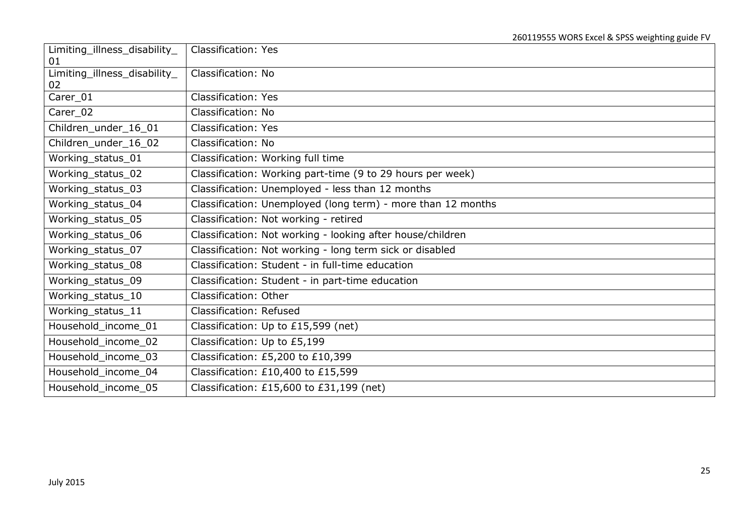| Limiting_illness_disability_             | <b>Classification: Yes</b>                                   |
|------------------------------------------|--------------------------------------------------------------|
| 01<br>Limiting_illness_disability_<br>02 | Classification: No                                           |
| Carer_01                                 | <b>Classification: Yes</b>                                   |
| Carer_02                                 | Classification: No                                           |
| Children_under_16_01                     | <b>Classification: Yes</b>                                   |
| Children_under_16_02                     | Classification: No                                           |
| Working_status_01                        | Classification: Working full time                            |
| Working_status_02                        | Classification: Working part-time (9 to 29 hours per week)   |
| Working_status_03                        | Classification: Unemployed - less than 12 months             |
| Working status 04                        | Classification: Unemployed (long term) - more than 12 months |
| Working_status_05                        | Classification: Not working - retired                        |
| Working_status_06                        | Classification: Not working - looking after house/children   |
| Working_status_07                        | Classification: Not working - long term sick or disabled     |
| Working_status_08                        | Classification: Student - in full-time education             |
| Working_status_09                        | Classification: Student - in part-time education             |
| Working_status_10                        | Classification: Other                                        |
| Working_status_11                        | Classification: Refused                                      |
| Household_income_01                      | Classification: Up to £15,599 (net)                          |
| Household_income_02                      | Classification: Up to £5,199                                 |
| Household_income_03                      | Classification: £5,200 to £10,399                            |
| Household_income_04                      | Classification: £10,400 to £15,599                           |
| Household_income_05                      | Classification: £15,600 to £31,199 (net)                     |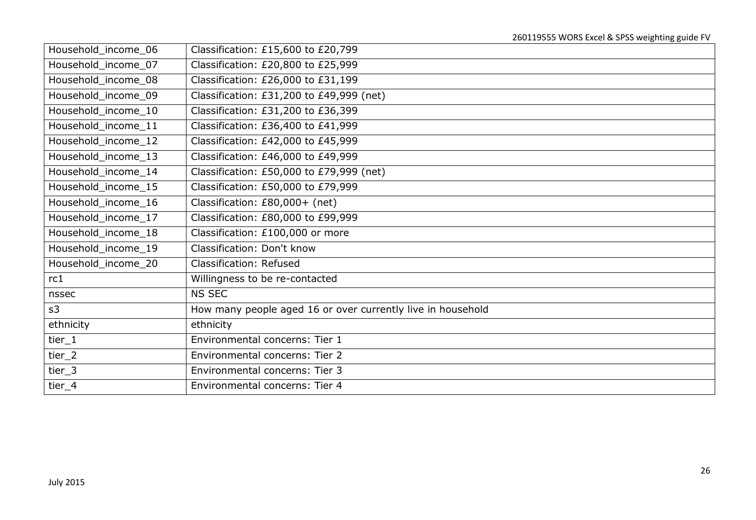| Household_income_06 | Classification: £15,600 to £20,799                          |
|---------------------|-------------------------------------------------------------|
| Household_income_07 | Classification: £20,800 to £25,999                          |
| Household_income_08 | Classification: £26,000 to £31,199                          |
| Household_income_09 | Classification: £31,200 to £49,999 (net)                    |
| Household_income_10 | Classification: £31,200 to £36,399                          |
| Household_income_11 | Classification: £36,400 to £41,999                          |
| Household_income_12 | Classification: £42,000 to £45,999                          |
| Household_income_13 | Classification: £46,000 to £49,999                          |
| Household_income_14 | Classification: £50,000 to £79,999 (net)                    |
| Household_income_15 | Classification: £50,000 to £79,999                          |
| Household_income_16 | Classification: £80,000+ (net)                              |
| Household_income_17 | Classification: £80,000 to £99,999                          |
| Household_income_18 | Classification: £100,000 or more                            |
| Household_income_19 | Classification: Don't know                                  |
| Household_income_20 | Classification: Refused                                     |
| rc1                 | Willingness to be re-contacted                              |
| nssec               | NS SEC                                                      |
| s3                  | How many people aged 16 or over currently live in household |
| ethnicity           | ethnicity                                                   |
| tier $1$            | Environmental concerns: Tier 1                              |
| tier_2              | Environmental concerns: Tier 2                              |
| tier $_3$           | Environmental concerns: Tier 3                              |
| tier_4              | Environmental concerns: Tier 4                              |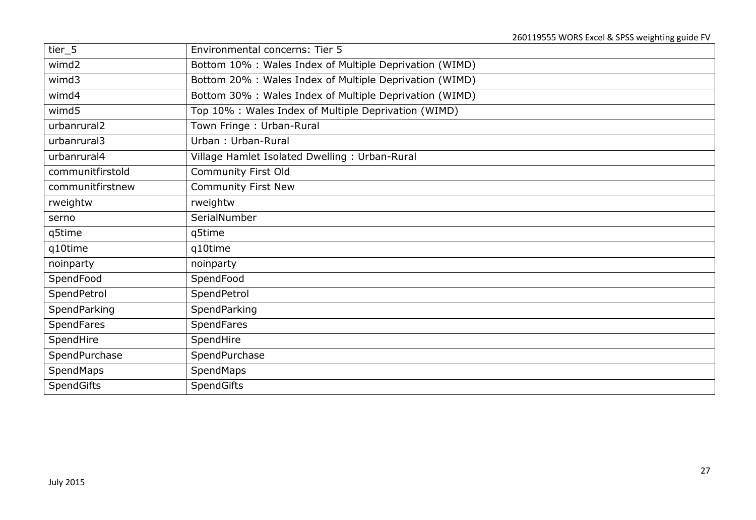| tier_5            | Environmental concerns: Tier 5                          |
|-------------------|---------------------------------------------------------|
| wimd2             | Bottom 10% : Wales Index of Multiple Deprivation (WIMD) |
| wimd3             | Bottom 20% : Wales Index of Multiple Deprivation (WIMD) |
| wimd4             | Bottom 30% : Wales Index of Multiple Deprivation (WIMD) |
| wimd5             | Top 10% : Wales Index of Multiple Deprivation (WIMD)    |
| urbanrural2       | Town Fringe: Urban-Rural                                |
| urbanrural3       | Urban: Urban-Rural                                      |
| urbanrural4       | Village Hamlet Isolated Dwelling: Urban-Rural           |
| communitfirstold  | Community First Old                                     |
| communitfirstnew  | <b>Community First New</b>                              |
| rweightw          | rweightw                                                |
| serno             | SerialNumber                                            |
| q5time            | q5time                                                  |
| q10time           | q10time                                                 |
| noinparty         | noinparty                                               |
| SpendFood         | SpendFood                                               |
| SpendPetrol       | SpendPetrol                                             |
| SpendParking      | SpendParking                                            |
| <b>SpendFares</b> | <b>SpendFares</b>                                       |
| SpendHire         | SpendHire                                               |
| SpendPurchase     | SpendPurchase                                           |
| <b>SpendMaps</b>  | SpendMaps                                               |
| <b>SpendGifts</b> | <b>SpendGifts</b>                                       |